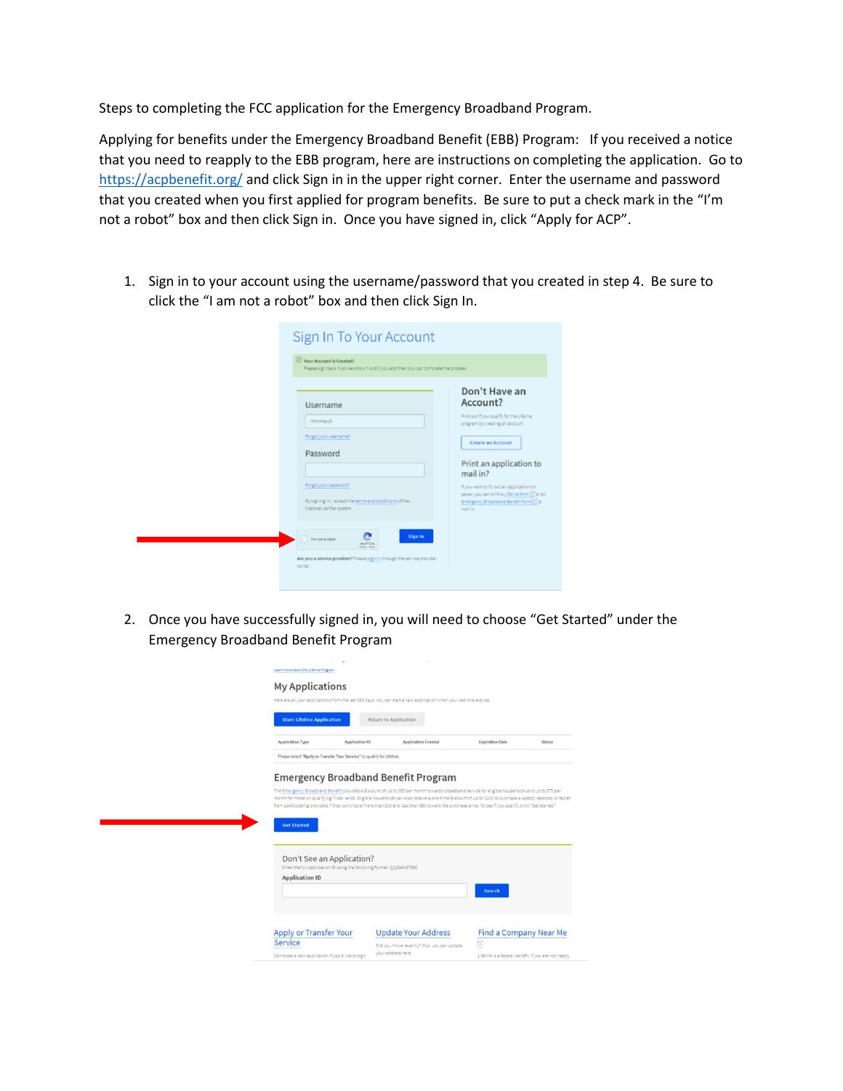Steps to completing the FCC application for the Emergency Broadband Program.

Applying for benefits under the Emergency Broadband Benefit (EBB) Program: If you received a notice that you need to reapply to the EBB program, here are instructions on completing the application. Go to <https://acpbenefit.org/> and click Sign in in the upper right corner. Enter the username and password that you created when you first applied for program benefits. Be sure to put a check mark in the "I'm not a robot" box and then click Sign in. Once you have signed in, click "Apply for ACP".

1. Sign in to your account using the username/password that you created in step 4. Be sure to click the "I am not a robot" box and then click Sign In.

| Sign In To Your Account<br>$\odot$ Your Account is Created!<br>Please sign back in so we know it is still you and then you can complete the process.                                                                                                                                                                                               |                                                                                                                                                                                                                                                                                                                            |
|----------------------------------------------------------------------------------------------------------------------------------------------------------------------------------------------------------------------------------------------------------------------------------------------------------------------------------------------------|----------------------------------------------------------------------------------------------------------------------------------------------------------------------------------------------------------------------------------------------------------------------------------------------------------------------------|
| Username<br>nthomas15<br>Forgot your username?<br>Password<br>Forgot your password?<br>By signing in, I accept the terms and conditions of the<br>National Verifier system.<br>Sign In<br>I'm not a robot<br><b>WCAPTCHA</b><br><b><i>Rivers - Terms</i></b><br>Are you a service provider? Please sign-in through the service provider<br>portal. | Don't Have an<br>Account?<br>Find out if you qualify for the Lifeline<br>program by creating an account.<br>Create an Account<br>Print an application to<br>mail in?<br>If you want to fill out an application on<br>paper, you can print a Lifeline form [2] or an<br>Emergency Broadband Benefit form [2] to<br>mail in. |

2. Once you have successfully signed in, you will need to choose "Get Started" under the Emergency Broadband Benefit Program

|                         | <b>Start Lifeline Application</b>                                                                                         | Return to Application                                                                                                                                                                                                                                                                                                    |                                                                                                                                                  |
|-------------------------|---------------------------------------------------------------------------------------------------------------------------|--------------------------------------------------------------------------------------------------------------------------------------------------------------------------------------------------------------------------------------------------------------------------------------------------------------------------|--------------------------------------------------------------------------------------------------------------------------------------------------|
| <b>Application Type</b> | Application ID                                                                                                            | Application Created                                                                                                                                                                                                                                                                                                      | <b>Expiration Date</b><br><b>Status</b>                                                                                                          |
|                         | Please select "Apply or Transfer Your Service" to qualify for Lifeline.                                                   |                                                                                                                                                                                                                                                                                                                          |                                                                                                                                                  |
|                         |                                                                                                                           | <b>Emergency Broadband Benefit Program</b>                                                                                                                                                                                                                                                                               |                                                                                                                                                  |
|                         |                                                                                                                           | month for those on qualifying Tribal lands. Eligible households can also receive a one-time discount of up to \$100 to purchase a laptop, desitop, or tablet<br>from participating providers if they contribute more than \$10 and less than \$50 toward the purchase price. To see if you qualify, click "Get Started." | The Emergency Broadband Benefit provides a discount of up to \$50 per month towards broadband service for eligible households and up to \$75 per |
|                         | <b>Get Started</b><br>Don't See an Application?<br>Enter the full Application ID using the following format: Q12345-67890 |                                                                                                                                                                                                                                                                                                                          |                                                                                                                                                  |
|                         | <b>Application ID</b>                                                                                                     |                                                                                                                                                                                                                                                                                                                          | <b>Search</b>                                                                                                                                    |
|                         | <b>Apply or Transfer Your</b>                                                                                             | <b>Update Your Address</b>                                                                                                                                                                                                                                                                                               | Find a Company Near Me                                                                                                                           |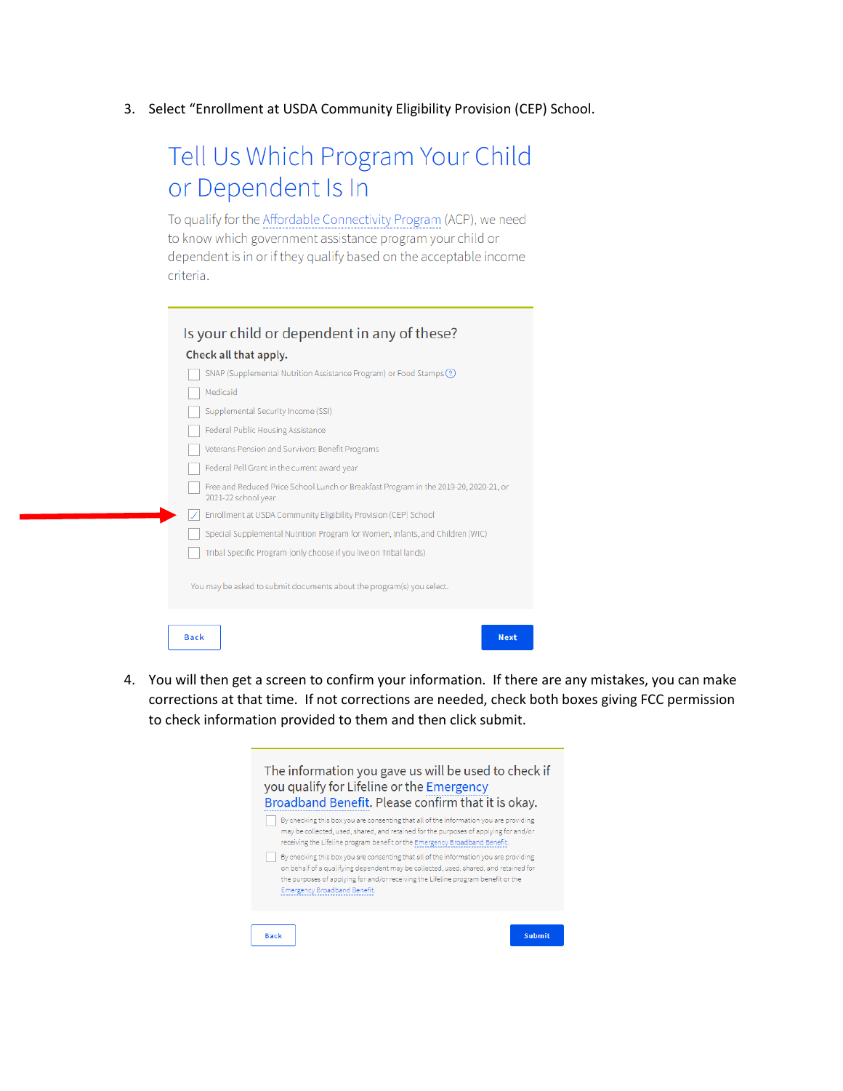3. Select "Enrollment at USDA Community Eligibility Provision (CEP) School.

## Tell Us Which Program Your Child or Dependent Is In

To qualify for the Affordable Connectivity Program (ACP), we need to know which government assistance program your child or dependent is in or if they qualify based on the acceptable income criteria.

|             | Is your child or dependent in any of these?<br>Check all that apply.                                        |
|-------------|-------------------------------------------------------------------------------------------------------------|
|             | SNAP (Supplemental Nutrition Assistance Program) or Food Stamps (?)                                         |
|             | Medicaid                                                                                                    |
|             | Supplemental Security Income (SSI)                                                                          |
|             | Federal Public Housing Assistance                                                                           |
|             | Veterans Pension and Survivors Benefit Programs                                                             |
|             | Federal Pell Grant in the current award year                                                                |
|             | Free and Reduced Price School Lunch or Breakfast Program in the 2019-20, 2020-21, or<br>2021-22 school year |
|             | Enrollment at USDA Community Eligibility Provision (CEP) School                                             |
|             | Special Supplemental Nutrition Program for Women, Infants, and Children (WIC)                               |
|             | Tribal Specific Program (only choose if you live on Tribal lands)                                           |
|             |                                                                                                             |
|             | You may be asked to submit documents about the program(s) you select.                                       |
|             |                                                                                                             |
| <b>Back</b> | <b>Next</b>                                                                                                 |

4. You will then get a screen to confirm your information. If there are any mistakes, you can make corrections at that time. If not corrections are needed, check both boxes giving FCC permission to check information provided to them and then click submit.

| The information you gave us will be used to check if<br>you qualify for Lifeline or the Emergency<br>Broadband Benefit. Please confirm that it is okay.                                                                                                                                            |               |
|----------------------------------------------------------------------------------------------------------------------------------------------------------------------------------------------------------------------------------------------------------------------------------------------------|---------------|
| By checking this box you are consenting that all of the information you are providing<br>may be collected, used, shared, and retained for the purposes of applying for and/or<br>receiving the Lifeline program benefit or the Emergency Broadband Benefit.                                        |               |
| By checking this box you are consenting that all of the information you are providing<br>on behalf of a qualifying dependent may be collected, used, shared, and retained for<br>the purposes of applying for and/or receiving the Lifeline program benefit or the<br>Emergency Broadband Benefit. |               |
| <b>Back</b>                                                                                                                                                                                                                                                                                        | <b>Submit</b> |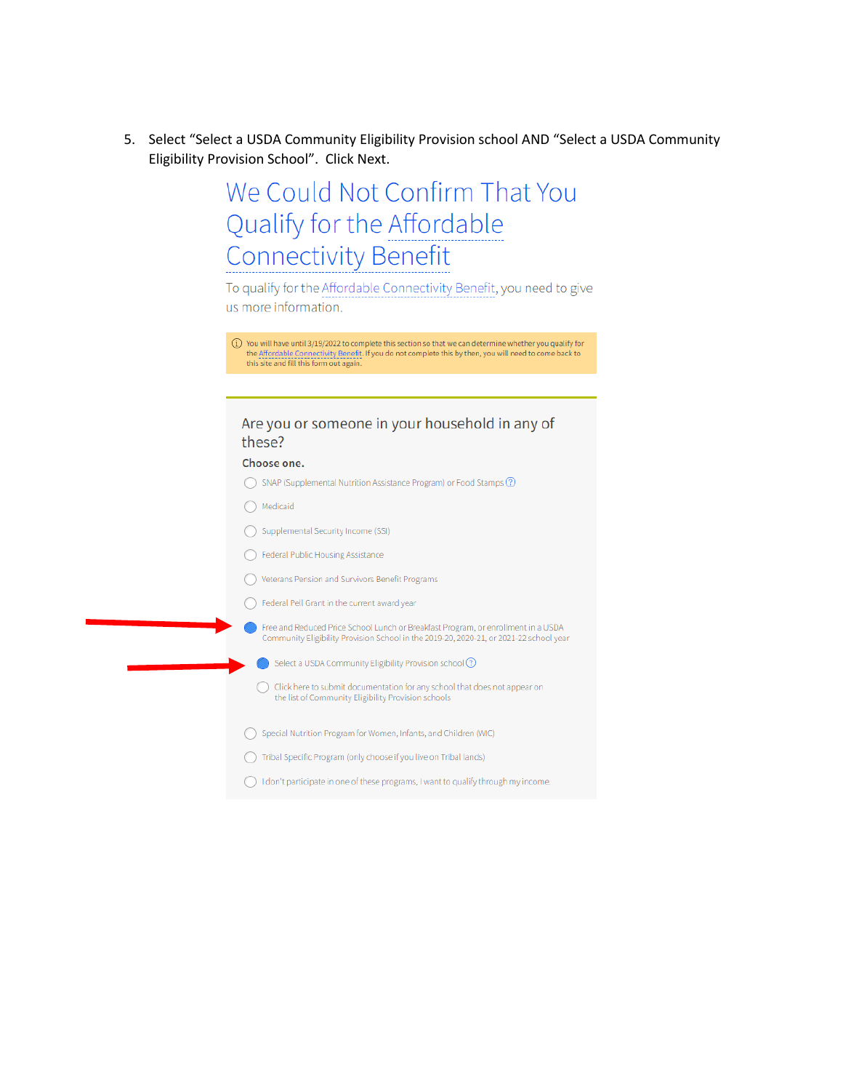5. Select "Select a USDA Community Eligibility Provision school AND "Select a USDA Community Eligibility Provision School". Click Next.

## We Could Not Confirm That You Qualify for the Affordable **Connectivity Benefit**

To qualify for the Affordable Connectivity Benefit, you need to give us more information.

| $(i)$ You will have until 3/19/2022 to complete this section so that we can determine whether you qualify for |
|---------------------------------------------------------------------------------------------------------------|
| the Affordable Connectivity Benefit. If you do not complete this by then, you will need to come back to       |
| this site and fill this form out again.                                                                       |

## Are you or someone in your household in any of these?

## Choose one.

- ◯ SNAP (Supplemental Nutrition Assistance Program) or Food Stamps ⑦
- $\bigcap$  Medicaid
- Supplemental Security Income (SSI)
- ◯ Federal Public Housing Assistance
- ◯ Veterans Pension and Survivors Benefit Programs
- ◯ Federal Pell Grant in the current award year
	- Free and Reduced Price School Lunch or Breakfast Program, or enrollment in a USDA<br>Community Eligibility Provision School in the 2019-20, 2020-21, or 2021-22 school year
	- Select a USDA Community Eligibility Provision school 2
	- ◯ Click here to submit documentation for any school that does not appear on the list of Community Eligibility Provision schools
- ◯ Special Nutrition Program for Women, Infants, and Children (WIC)
- ◯ Tribal Specific Program (only choose if you live on Tribal lands)
- $\bigcirc$  I don't participate in one of these programs, I want to qualify through my income.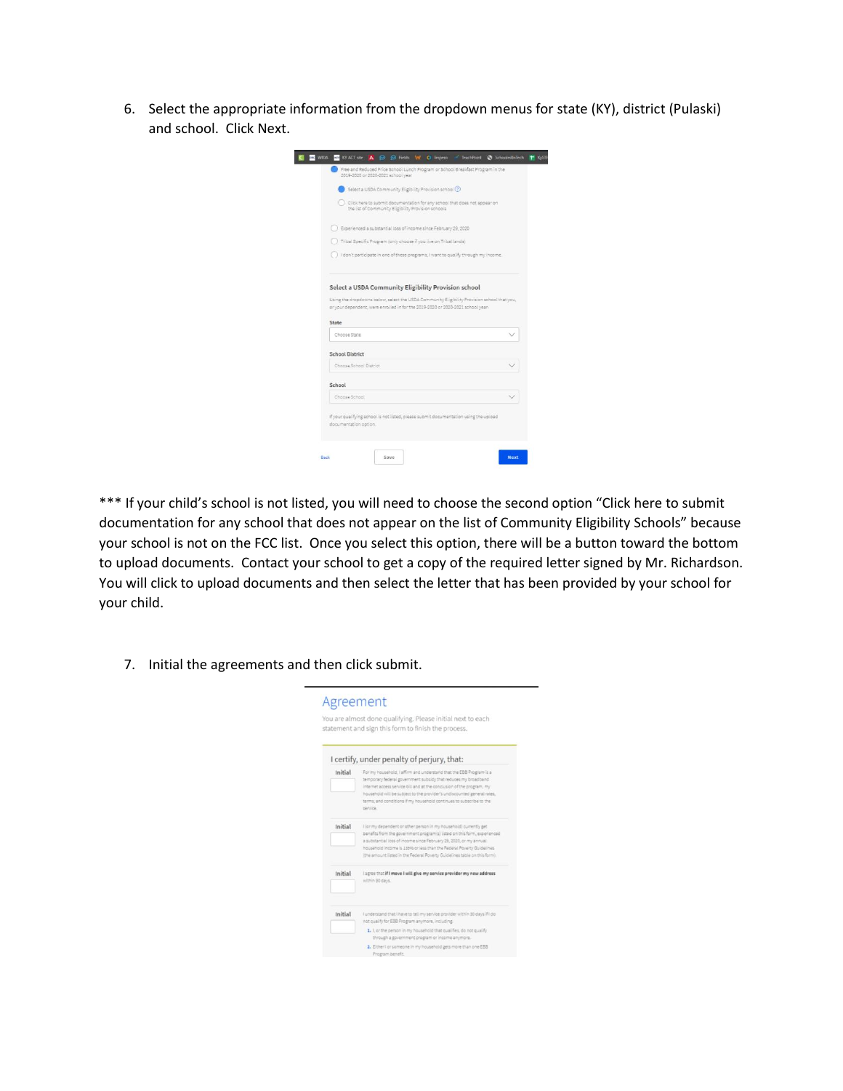6. Select the appropriate information from the dropdown menus for state (KY), district (Pulaski) and school. Click Next.

| Select a USDA Community Eligibility Provision school (?)                                                                                                                       |  |
|--------------------------------------------------------------------------------------------------------------------------------------------------------------------------------|--|
| Click here to submit documentation for any school that does not appear on<br>the list of Community Eligibility Provision schools                                               |  |
| Experienced a substantial loss of income since February 29, 2020                                                                                                               |  |
| Tribal Specific Program (only choose if you live on Tribal lands)                                                                                                              |  |
| I don't participate in one of these programs, I want to qualify through my income.                                                                                             |  |
| Select a USDA Community Eligibility Provision school                                                                                                                           |  |
| Using the dropdowns below, select the USDA Community Eligibility Provision school that you,<br>or your dependent, were enrolled in for the 2019-2020 or 2020-2021 school year: |  |
| State                                                                                                                                                                          |  |
| Choose State                                                                                                                                                                   |  |
| <b>School District</b>                                                                                                                                                         |  |
| Choose School District                                                                                                                                                         |  |
| School                                                                                                                                                                         |  |
| Choose School                                                                                                                                                                  |  |

\*\*\* If your child's school is not listed, you will need to choose the second option "Click here to submit documentation for any school that does not appear on the list of Community Eligibility Schools" because your school is not on the FCC list. Once you select this option, there will be a button toward the bottom to upload documents. Contact your school to get a copy of the required letter signed by Mr. Richardson. You will click to upload documents and then select the letter that has been provided by your school for your child.

 $\overline{\phantom{0}}$ 

7. Initial the agreements and then click submit.

|         | You are almost done qualifying. Please initial next to each<br>statement and sign this form to finish the process.                                                                                                                                                                                                                                                           |
|---------|------------------------------------------------------------------------------------------------------------------------------------------------------------------------------------------------------------------------------------------------------------------------------------------------------------------------------------------------------------------------------|
|         | I certify, under penalty of perjury, that:                                                                                                                                                                                                                                                                                                                                   |
| Initial | For my household, I affirm and understand that the EBB Program is a<br>temporary federal government subsidy that reduces my broadband<br>internet access service bill and at the conclusion of the program, my<br>household will be subject to the provider's undiscounted general rates,<br>terms, and conditions if my household continues to subscribe to the<br>service. |
| Initial | I for my dependent or other person in my household) currently get<br>benefits from the government program(s) listed on this form, experienced<br>a substantial loss of income since February 29, 2020, or my annual<br>household income is 135% or less than the Federal Poverty Guidelines<br>(the amount listed in the Federal Poverty Guidelines table on this form).     |
| Initial | lagree that if I move I will give my service provider my new address<br>within 30 days.                                                                                                                                                                                                                                                                                      |
| Initial | I understand that I have to tell my service provider within 30 days if I do<br>not qualify for EBB Program anymore, including:                                                                                                                                                                                                                                               |
|         | 1. Lor the person in my household that qualifies, do not qualify.<br>through a government program or income anymore.                                                                                                                                                                                                                                                         |
|         | 2. Either I or someone in my household gets more than one EBB<br>Program benefit.                                                                                                                                                                                                                                                                                            |